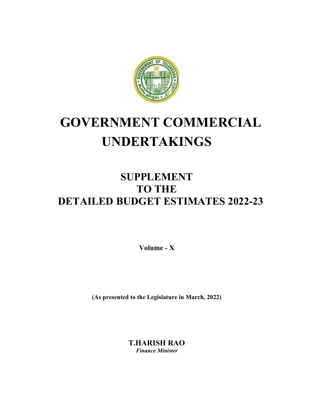

# **GOVERNMENT COMMERCIAL UNDERTAKINGS**

## **SUPPLEMENT TO THE DETAILED BUDGET ESTIMATES 2022-23**

**Volume - X** 

**(As presented to the Legislature in March, 2022)** 

**T.HARISH RAO**  *Finance Minister*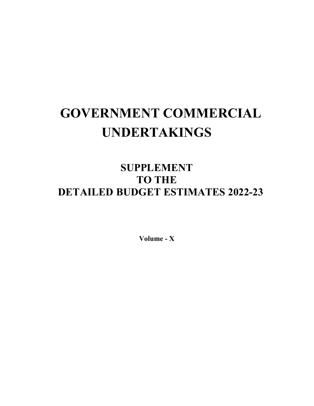# **GOVERNMENT COMMERCIAL UNDERTAKINGS**

## **SUPPLEMENT TO THE DETAILED BUDGET ESTIMATES 2022-23**

**Volume - X**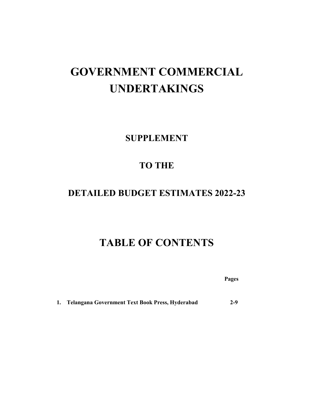## **GOVERNMENT COMMERCIAL UNDERTAKINGS**

**SUPPLEMENT** 

## **TO THE**

### **DETAILED BUDGET ESTIMATES 2022-23**

## **TABLE OF CONTENTS**

 **Pages** 

**1. Telangana Government Text Book Press, Hyderabad 2-9**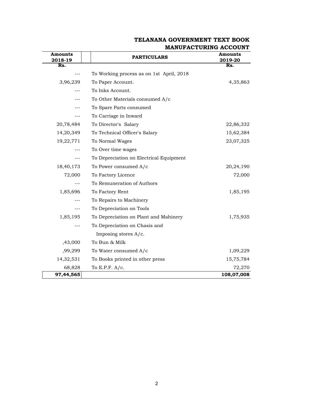| Amounts<br>2018-19 | <b>PARTICULARS</b>                       | Amounts<br>2019-20 |
|--------------------|------------------------------------------|--------------------|
| Rs.                |                                          | Rs.                |
|                    | To Working process as on 1st April, 2018 |                    |
| 3,96,239           | To Paper Account.                        | 4,35,863           |
|                    | To Inks Account.                         |                    |
|                    | To Other Materials consumed A/c          |                    |
|                    | To Spare Parts consumed                  |                    |
|                    | To Carriage in Inward                    |                    |
| 20,78,484          | To Director's Salary                     | 22,86,332          |
| 14,20,349          | To Technical Officer's Salary            | 15,62,384          |
| 19,22,771          | To Normal Wages                          | 23,07,325          |
|                    | To Over time wages                       |                    |
|                    | To Depreciation on Electrical Equipment  |                    |
| 18,40,173          | To Power consumed A/c                    | 20,24,190          |
| 72,000             | To Factory Licence                       | 72,000             |
|                    | To Remuneration of Authors               |                    |
| 1,85,696           | To Factory Rent                          | 1,85,195           |
|                    | To Repairs to Machinery                  |                    |
| ---                | To Depreciation on Tools                 |                    |
| 1,85,195           | To Depreciation on Plant and Mahinery    | 1,75,935           |
|                    | To Depreciation on Chasis and            |                    |
|                    | Imposing stores $A/c$ .                  |                    |
| ,43,000            | To Bun & Milk                            |                    |
| ,99,299            | To Water consumed A/c                    | 1,09,229           |
| 14,32,531          | To Books printed in other press          | 15,75,784          |
| 68,828             | To E.P.F. $A/c$ .                        | 72,270             |
| 97,44,565          |                                          | 108,07,008         |

#### **TELANANA GOVERNMENT TEXT BOOK MANUFACTURING ACCOUNT**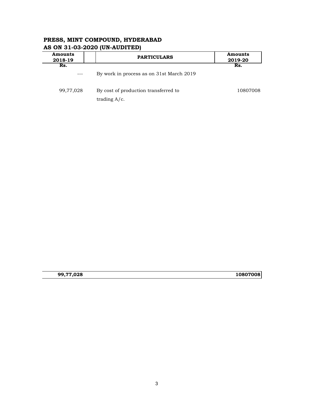| <b>Amounts</b><br>2018-19 | <b>PARTICULARS</b>                                      | <b>Amounts</b><br>2019-20 |  |
|---------------------------|---------------------------------------------------------|---------------------------|--|
| Rs.                       | By work in process as on 31st March 2019                | Rs.                       |  |
| 99,77,028                 | By cost of production transferred to<br>trading $A/c$ . | 10807008                  |  |

#### **PRESS, MINT COMPOUND, HYDERABAD AS ON 31-03-2020 (UN-AUDITED)**

**99,77,028 10807008**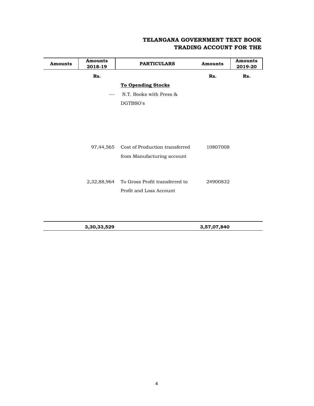#### **TELANGANA GOVERNMENT TEXT BOOK TRADING ACCOUNT FOR THE**

| <b>Amounts</b> | <b>Amounts</b><br>2018-19 | <b>PARTICULARS</b>             | <b>Amounts</b> | <b>Amounts</b><br>2019-20 |
|----------------|---------------------------|--------------------------------|----------------|---------------------------|
|                | Rs.                       |                                | Rs.            | Rs.                       |
|                |                           | <b>To Opending Stocks</b>      |                |                           |
|                | $---$                     | N.T. Books with Press &        |                |                           |
|                |                           | DGTBSO's                       |                |                           |
|                |                           |                                |                |                           |
|                |                           |                                |                |                           |
|                |                           |                                |                |                           |
|                |                           |                                |                |                           |
|                | 97,44,565                 | Cost of Production transferred | 10807008       |                           |
|                |                           | from Manufacturing account     |                |                           |
|                |                           |                                |                |                           |
|                |                           |                                |                |                           |
|                | 2,32,88,964               | To Gross Profit transferred to | 24900832       |                           |
|                |                           | Profit and Loss Account        |                |                           |
|                |                           |                                |                |                           |
|                |                           |                                |                |                           |
|                |                           |                                |                |                           |

**3,30,33,529 3,57,07,840**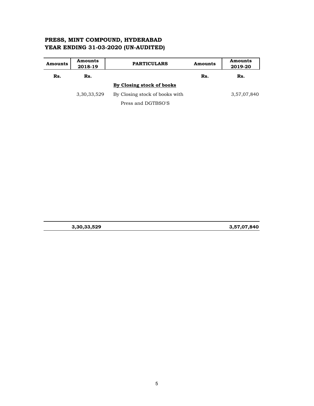#### **PRESS, MINT COMPOUND, HYDERABAD YEAR ENDING 31-03-2020 (UN-AUDITED)**

| Amounts | <b>Amounts</b><br>2018-19 | <b>PARTICULARS</b>             | Amounts | <b>Amounts</b><br>2019-20 |
|---------|---------------------------|--------------------------------|---------|---------------------------|
| Rs.     | Rs.                       |                                | Rs.     | Rs.                       |
|         |                           | By Closing stock of books      |         |                           |
|         | 3,30,33,529               | By Closing stock of books with |         | 3,57,07,840               |
|         |                           | Press and DGTBSO'S             |         |                           |

|  | 3,30,33,529 |
|--|-------------|
|  |             |

**3,30,33,529 3,57,07,840**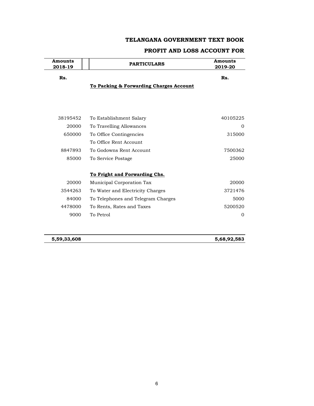#### **TELANGANA GOVERNMENT TEXT BOOK**

#### **PROFIT AND LOSS ACCOUNT FOR**

| Amounts<br>2018-19 | <b>PARTICULARS</b>                      | <b>Amounts</b><br>2019-20 |  |
|--------------------|-----------------------------------------|---------------------------|--|
| Rs.                |                                         | Rs.                       |  |
|                    | To Packing & Forwarding Charges Account |                           |  |
|                    |                                         |                           |  |
| 38195452           | To Establishment Salary                 | 40105225                  |  |
| 20000              | To Travelling Allowances                | $\mathbf{0}$              |  |
| 650000             | To Office Contingencies                 | 315000                    |  |
|                    | To Office Rent Account                  |                           |  |
| 8847893            | To Godowns Rent Account                 | 7500362                   |  |
| 85000              | To Service Postage                      | 25000                     |  |
|                    | To Fright and Forwarding Chs.           |                           |  |
| 20000              | Municipal Corporation Tax               | 20000                     |  |
| 3544263            | To Water and Electricity Charges        | 3721476                   |  |
| 84000              | To Telephones and Telegram Charges      | 5000                      |  |
| 4478000            | To Rents, Rates and Taxes               | 5200520                   |  |
| 9000               | To Petrol                               | 0                         |  |

**5,59,33,608 5,68,92,583**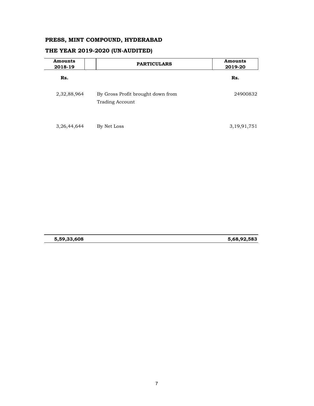#### **PRESS, MINT COMPOUND, HYDERABAD**

| <b>Amounts</b><br>2018-19 | <b>PARTICULARS</b>                                          | <b>Amounts</b><br>2019-20 |
|---------------------------|-------------------------------------------------------------|---------------------------|
| Rs.                       |                                                             | Rs.                       |
| 2,32,88,964               | By Gross Profit brought down from<br><b>Trading Account</b> | 24900832                  |
| 3, 26, 44, 644            | By Net Loss                                                 | 3, 19, 91, 751            |

#### **THE YEAR 2019-2020 (UN-AUDITED)**

**5,59,33,608 5,68,92,583**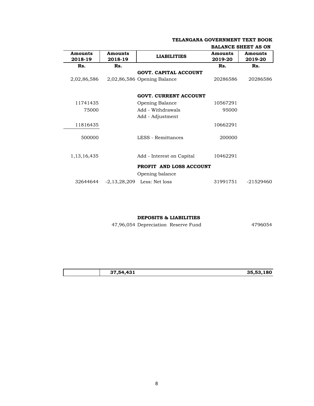|                           |                           |                               |                    | <b>BALANCE SHEET AS ON</b> |
|---------------------------|---------------------------|-------------------------------|--------------------|----------------------------|
| <b>Amounts</b><br>2018-19 | <b>Amounts</b><br>2018-19 | <b>LIABILITIES</b>            | Amounts<br>2019-20 | Amounts<br>2019-20         |
| Rs.                       | Rs.                       |                               | Rs.                | Rs.                        |
|                           |                           | <b>GOVT. CAPITAL ACCOUNT</b>  |                    |                            |
| 2,02,86,586               |                           | $2,02,86,586$ Opening Balance | 20286586           | 20286586                   |
|                           |                           | <b>GOVT. CURRENT ACCOUNT</b>  |                    |                            |
| 11741435                  |                           | Opening Balance               | 10567291           |                            |
| 75000                     |                           | Add - Withdrawals             | 95000              |                            |
|                           |                           | Add - Adjustment              |                    |                            |
| 11816435                  |                           |                               | 10662291           |                            |
| 500000                    |                           | LESS - Remittances            | 200000             |                            |
|                           |                           |                               |                    |                            |
| 1, 13, 16, 435            |                           | Add - Interest on Capital     | 10462291           |                            |
|                           |                           | PROFIT AND LOSS ACCOUNT       |                    |                            |
|                           |                           | Opening balance               |                    |                            |
| 32644644                  |                           | $-2,13,28,209$ Less: Net loss | 31991751           | $-21529460$                |

#### **TELANGANA GOVERNMENT TEXT BOOK**

**DEPOSITS & LIABILITIES**

47,96,054 Depreciation Reserve Fund 4796054

| 37,54,431 | .180<br>35.53 |
|-----------|---------------|
|           |               |